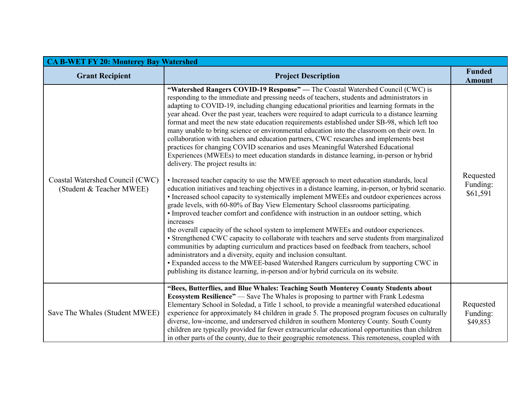| <b>CA B-WET FY 20: Monterey Bay Watershed</b>               |                                                                                                                                                                                                                                                                                                                                                                                                                                                                                                                                                                                                                                                                                                                                                                                                                                                                                                                                                                                                                                                                                                                                                                                                                                                                                                                                                                                                                                                                                                                                                                                                                                                                                                                                                                                                                                                                                                                                         |                                   |
|-------------------------------------------------------------|-----------------------------------------------------------------------------------------------------------------------------------------------------------------------------------------------------------------------------------------------------------------------------------------------------------------------------------------------------------------------------------------------------------------------------------------------------------------------------------------------------------------------------------------------------------------------------------------------------------------------------------------------------------------------------------------------------------------------------------------------------------------------------------------------------------------------------------------------------------------------------------------------------------------------------------------------------------------------------------------------------------------------------------------------------------------------------------------------------------------------------------------------------------------------------------------------------------------------------------------------------------------------------------------------------------------------------------------------------------------------------------------------------------------------------------------------------------------------------------------------------------------------------------------------------------------------------------------------------------------------------------------------------------------------------------------------------------------------------------------------------------------------------------------------------------------------------------------------------------------------------------------------------------------------------------------|-----------------------------------|
| <b>Grant Recipient</b>                                      | <b>Project Description</b>                                                                                                                                                                                                                                                                                                                                                                                                                                                                                                                                                                                                                                                                                                                                                                                                                                                                                                                                                                                                                                                                                                                                                                                                                                                                                                                                                                                                                                                                                                                                                                                                                                                                                                                                                                                                                                                                                                              | <b>Funded</b><br><b>Amount</b>    |
| Coastal Watershed Council (CWC)<br>(Student & Teacher MWEE) | "Watershed Rangers COVID-19 Response" — The Coastal Watershed Council (CWC) is<br>responding to the immediate and pressing needs of teachers, students and administrators in<br>adapting to COVID-19, including changing educational priorities and learning formats in the<br>year ahead. Over the past year, teachers were required to adapt curricula to a distance learning<br>format and meet the new state education requirements established under SB-98, which left too<br>many unable to bring science or environmental education into the classroom on their own. In<br>collaboration with teachers and education partners, CWC researches and implements best<br>practices for changing COVID scenarios and uses Meaningful Watershed Educational<br>Experiences (MWEEs) to meet education standards in distance learning, in-person or hybrid<br>delivery. The project results in:<br>• Increased teacher capacity to use the MWEE approach to meet education standards, local<br>education initiatives and teaching objectives in a distance learning, in-person, or hybrid scenario.<br>• Increased school capacity to systemically implement MWEEs and outdoor experiences across<br>grade levels, with 60-80% of Bay View Elementary School classrooms participating.<br>• Improved teacher comfort and confidence with instruction in an outdoor setting, which<br>increases<br>the overall capacity of the school system to implement MWEEs and outdoor experiences.<br>• Strengthened CWC capacity to collaborate with teachers and serve students from marginalized<br>communities by adapting curriculum and practices based on feedback from teachers, school<br>administrators and a diversity, equity and inclusion consultant.<br>• Expanded access to the MWEE-based Watershed Rangers curriculum by supporting CWC in<br>publishing its distance learning, in-person and/or hybrid curricula on its website. | Requested<br>Funding:<br>\$61,591 |
| Save The Whales (Student MWEE)                              | "Bees, Butterflies, and Blue Whales: Teaching South Monterey County Students about<br><b>Ecosystem Resilience"</b> — Save The Whales is proposing to partner with Frank Ledesma<br>Elementary School in Soledad, a Title 1 school, to provide a meaningful watershed educational<br>experience for approximately 84 children in grade 5. The proposed program focuses on culturally<br>diverse, low-income, and underserved children in southern Monterey County. South County<br>children are typically provided far fewer extracurricular educational opportunities than children<br>in other parts of the county, due to their geographic remoteness. This remoteness, coupled with                                                                                                                                                                                                                                                                                                                                                                                                                                                                                                                                                                                                                                                                                                                                                                                                                                                                                                                                                                                                                                                                                                                                                                                                                                                  | Requested<br>Funding:<br>\$49,853 |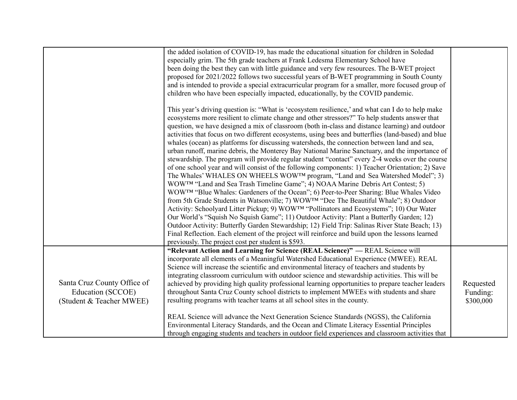|                                               | the added isolation of COVID-19, has made the educational situation for children in Soledad<br>especially grim. The 5th grade teachers at Frank Ledesma Elementary School have<br>been doing the best they can with little guidance and very few resources. The B-WET project                                                                                                                                                                                                 |                       |
|-----------------------------------------------|-------------------------------------------------------------------------------------------------------------------------------------------------------------------------------------------------------------------------------------------------------------------------------------------------------------------------------------------------------------------------------------------------------------------------------------------------------------------------------|-----------------------|
|                                               | proposed for 2021/2022 follows two successful years of B-WET programming in South County<br>and is intended to provide a special extracurricular program for a smaller, more focused group of<br>children who have been especially impacted, educationally, by the COVID pandemic.                                                                                                                                                                                            |                       |
|                                               | This year's driving question is: "What is 'ecosystem resilience,' and what can I do to help make<br>ecosystems more resilient to climate change and other stressors?" To help students answer that<br>question, we have designed a mix of classroom (both in-class and distance learning) and outdoor                                                                                                                                                                         |                       |
|                                               | activities that focus on two different ecosystems, using bees and butterflies (land-based) and blue<br>whales (ocean) as platforms for discussing watersheds, the connection between land and sea,<br>urban runoff, marine debris, the Monterey Bay National Marine Sanctuary, and the importance of<br>stewardship. The program will provide regular student "contact" every 2-4 weeks over the course                                                                       |                       |
|                                               | of one school year and will consist of the following components: 1) Teacher Orientation; 2) Save<br>The Whales' WHALES ON WHEELS WOWTM program, "Land and Sea Watershed Model"; 3)<br>WOWTM "Land and Sea Trash Timeline Game"; 4) NOAA Marine Debris Art Contest; 5)<br>WOWTM "Blue Whales: Gardeners of the Ocean"; 6) Peer-to-Peer Sharing: Blue Whales Video                                                                                                              |                       |
|                                               | from 5th Grade Students in Watsonville; 7) WOWTM "Dee The Beautiful Whale"; 8) Outdoor<br>Activity: Schoolyard Litter Pickup; 9) WOWTM "Pollinators and Ecosystems"; 10) Our Water<br>Our World's "Squish No Squish Game"; 11) Outdoor Activity: Plant a Butterfly Garden; 12)                                                                                                                                                                                                |                       |
|                                               | Outdoor Activity: Butterfly Garden Stewardship; 12) Field Trip: Salinas River State Beach; 13)<br>Final Reflection. Each element of the project will reinforce and build upon the lessons learned<br>previously. The project cost per student is \$593.                                                                                                                                                                                                                       |                       |
| Santa Cruz County Office of                   | "Relevant Action and Learning for Science (REAL Science)" — REAL Science will<br>incorporate all elements of a Meaningful Watershed Educational Experience (MWEE). REAL<br>Science will increase the scientific and environmental literacy of teachers and students by<br>integrating classroom curriculum with outdoor science and stewardship activities. This will be<br>achieved by providing high quality professional learning opportunities to prepare teacher leaders | Requested             |
| Education (SCCOE)<br>(Student & Teacher MWEE) | throughout Santa Cruz County school districts to implement MWEEs with students and share<br>resulting programs with teacher teams at all school sites in the county.                                                                                                                                                                                                                                                                                                          | Funding:<br>\$300,000 |
|                                               | REAL Science will advance the Next Generation Science Standards (NGSS), the California<br>Environmental Literacy Standards, and the Ocean and Climate Literacy Essential Principles<br>through engaging students and teachers in outdoor field experiences and classroom activities that                                                                                                                                                                                      |                       |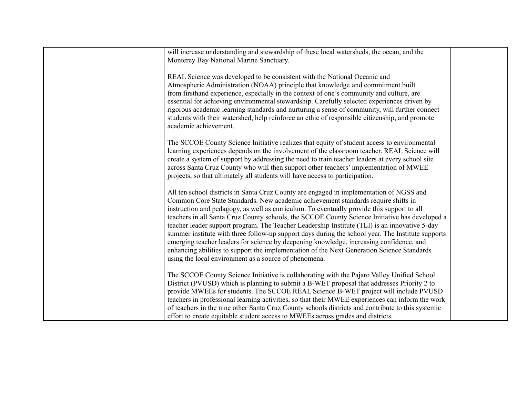| will increase understanding and stewardship of these local watersheds, the ocean, and the<br>Monterey Bay National Marine Sanctuary.                                                                                                                                                                                                                                                                                                                                                                                                                                                                                                                                                                                                                                                                                                 |  |
|--------------------------------------------------------------------------------------------------------------------------------------------------------------------------------------------------------------------------------------------------------------------------------------------------------------------------------------------------------------------------------------------------------------------------------------------------------------------------------------------------------------------------------------------------------------------------------------------------------------------------------------------------------------------------------------------------------------------------------------------------------------------------------------------------------------------------------------|--|
| REAL Science was developed to be consistent with the National Oceanic and<br>Atmospheric Administration (NOAA) principle that knowledge and commitment built<br>from firsthand experience, especially in the context of one's community and culture, are<br>essential for achieving environmental stewardship. Carefully selected experiences driven by<br>rigorous academic learning standards and nurturing a sense of community, will further connect<br>students with their watershed, help reinforce an ethic of responsible citizenship, and promote<br>academic achievement.                                                                                                                                                                                                                                                  |  |
| The SCCOE County Science Initiative realizes that equity of student access to environmental<br>learning experiences depends on the involvement of the classroom teacher. REAL Science will<br>create a system of support by addressing the need to train teacher leaders at every school site<br>across Santa Cruz County who will then support other teachers' implementation of MWEE<br>projects, so that ultimately all students will have access to participation.                                                                                                                                                                                                                                                                                                                                                               |  |
| All ten school districts in Santa Cruz County are engaged in implementation of NGSS and<br>Common Core State Standards. New academic achievement standards require shifts in<br>instruction and pedagogy, as well as curriculum. To eventually provide this support to all<br>teachers in all Santa Cruz County schools, the SCCOE County Science Initiative has developed a<br>teacher leader support program. The Teacher Leadership Institute (TLI) is an innovative 5-day<br>summer institute with three follow-up support days during the school year. The Institute supports<br>emerging teacher leaders for science by deepening knowledge, increasing confidence, and<br>enhancing abilities to support the implementation of the Next Generation Science Standards<br>using the local environment as a source of phenomena. |  |
| The SCCOE County Science Initiative is collaborating with the Pajaro Valley Unified School<br>District (PVUSD) which is planning to submit a B-WET proposal that addresses Priority 2 to<br>provide MWEEs for students. The SCCOE REAL Science B-WET project will include PVUSD<br>teachers in professional learning activities, so that their MWEE experiences can inform the work<br>of teachers in the nine other Santa Cruz County schools districts and contribute to this systemic<br>effort to create equitable student access to MWEEs across grades and districts.                                                                                                                                                                                                                                                          |  |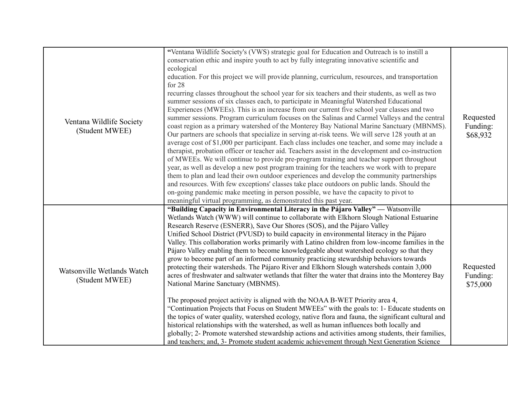| Ventana Wildlife Society<br>(Student MWEE)   | "Ventana Wildlife Society's (VWS) strategic goal for Education and Outreach is to instill a<br>conservation ethic and inspire youth to act by fully integrating innovative scientific and<br>ecological<br>education. For this project we will provide planning, curriculum, resources, and transportation<br>for $28$<br>recurring classes throughout the school year for six teachers and their students, as well as two<br>summer sessions of six classes each, to participate in Meaningful Watershed Educational<br>Experiences (MWEEs). This is an increase from our current five school year classes and two<br>summer sessions. Program curriculum focuses on the Salinas and Carmel Valleys and the central<br>coast region as a primary watershed of the Monterey Bay National Marine Sanctuary (MBNMS).<br>Our partners are schools that specialize in serving at-risk teens. We will serve 128 youth at an<br>average cost of \$1,000 per participant. Each class includes one teacher, and some may include a<br>therapist, probation officer or teacher aid. Teachers assist in the development and co-instruction<br>of MWEEs. We will continue to provide pre-program training and teacher support throughout<br>year, as well as develop a new post program training for the teachers we work with to prepare<br>them to plan and lead their own outdoor experiences and develop the community partnerships<br>and resources. With few exceptions' classes take place outdoors on public lands. Should the<br>on-going pandemic make meeting in person possible, we have the capacity to pivot to<br>meaningful virtual programming, as demonstrated this past year. | Requested<br>Funding:<br>\$68,932 |
|----------------------------------------------|---------------------------------------------------------------------------------------------------------------------------------------------------------------------------------------------------------------------------------------------------------------------------------------------------------------------------------------------------------------------------------------------------------------------------------------------------------------------------------------------------------------------------------------------------------------------------------------------------------------------------------------------------------------------------------------------------------------------------------------------------------------------------------------------------------------------------------------------------------------------------------------------------------------------------------------------------------------------------------------------------------------------------------------------------------------------------------------------------------------------------------------------------------------------------------------------------------------------------------------------------------------------------------------------------------------------------------------------------------------------------------------------------------------------------------------------------------------------------------------------------------------------------------------------------------------------------------------------------------------------------------------------------------------------------------------|-----------------------------------|
| Watsonville Wetlands Watch<br>(Student MWEE) | "Building Capacity in Environmental Literacy in the Pájaro Valley" — Watsonville<br>Wetlands Watch (WWW) will continue to collaborate with Elkhorn Slough National Estuarine<br>Research Reserve (ESNERR), Save Our Shores (SOS), and the Pájaro Valley<br>Unified School District (PVUSD) to build capacity in environmental literacy in the Pájaro<br>Valley. This collaboration works primarily with Latino children from low-income families in the<br>Pájaro Valley enabling them to become knowledgeable about watershed ecology so that they<br>grow to become part of an informed community practicing stewardship behaviors towards<br>protecting their watersheds. The Pájaro River and Elkhorn Slough watersheds contain 3,000<br>acres of freshwater and saltwater wetlands that filter the water that drains into the Monterey Bay<br>National Marine Sanctuary (MBNMS).<br>The proposed project activity is aligned with the NOAA B-WET Priority area 4,<br>"Continuation Projects that Focus on Student MWEEs" with the goals to: 1- Educate students on<br>the topics of water quality, watershed ecology, native flora and fauna, the significant cultural and<br>historical relationships with the watershed, as well as human influences both locally and<br>globally; 2- Promote watershed stewardship actions and activities among students, their families,<br>and teachers; and, 3- Promote student academic achievement through Next Generation Science                                                                                                                                                                                                       | Requested<br>Funding:<br>\$75,000 |